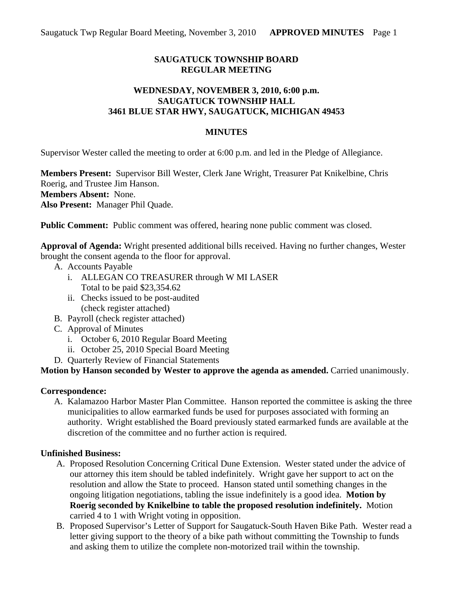# **SAUGATUCK TOWNSHIP BOARD REGULAR MEETING**

#### **WEDNESDAY, NOVEMBER 3, 2010, 6:00 p.m. SAUGATUCK TOWNSHIP HALL 3461 BLUE STAR HWY, SAUGATUCK, MICHIGAN 49453**

#### **MINUTES**

Supervisor Wester called the meeting to order at 6:00 p.m. and led in the Pledge of Allegiance.

**Members Present:** Supervisor Bill Wester, Clerk Jane Wright, Treasurer Pat Knikelbine, Chris Roerig, and Trustee Jim Hanson. **Members Absent:** None. **Also Present:** Manager Phil Quade.

**Public Comment:** Public comment was offered, hearing none public comment was closed.

**Approval of Agenda:** Wright presented additional bills received. Having no further changes, Wester brought the consent agenda to the floor for approval.

- A. Accounts Payable
	- i. ALLEGAN CO TREASURER through W MI LASER Total to be paid \$23,354.62
	- ii. Checks issued to be post-audited (check register attached)
- B. Payroll (check register attached)
- C. Approval of Minutes
	- i. October 6, 2010 Regular Board Meeting
	- ii. October 25, 2010 Special Board Meeting
- D. Quarterly Review of Financial Statements

**Motion by Hanson seconded by Wester to approve the agenda as amended.** Carried unanimously.

#### **Correspondence:**

A. Kalamazoo Harbor Master Plan Committee. Hanson reported the committee is asking the three municipalities to allow earmarked funds be used for purposes associated with forming an authority. Wright established the Board previously stated earmarked funds are available at the discretion of the committee and no further action is required.

## **Unfinished Business:**

- A. Proposed Resolution Concerning Critical Dune Extension. Wester stated under the advice of our attorney this item should be tabled indefinitely. Wright gave her support to act on the resolution and allow the State to proceed. Hanson stated until something changes in the ongoing litigation negotiations, tabling the issue indefinitely is a good idea. **Motion by Roerig seconded by Knikelbine to table the proposed resolution indefinitely.** Motion carried 4 to 1 with Wright voting in opposition.
- B. Proposed Supervisor's Letter of Support for Saugatuck-South Haven Bike Path. Wester read a letter giving support to the theory of a bike path without committing the Township to funds and asking them to utilize the complete non-motorized trail within the township.